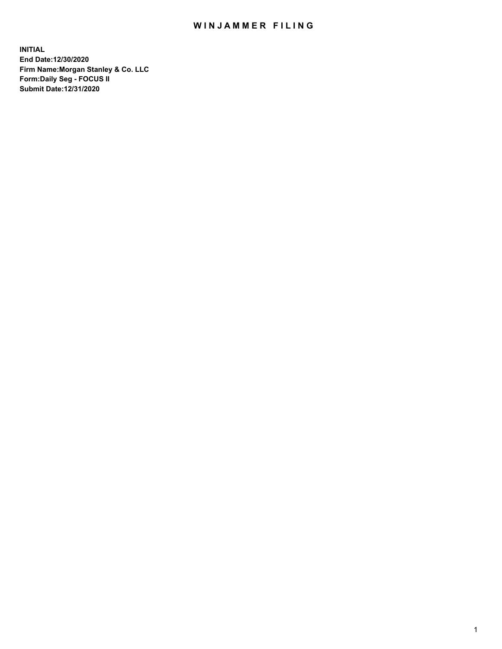## WIN JAMMER FILING

**INITIAL End Date:12/30/2020 Firm Name:Morgan Stanley & Co. LLC Form:Daily Seg - FOCUS II Submit Date:12/31/2020**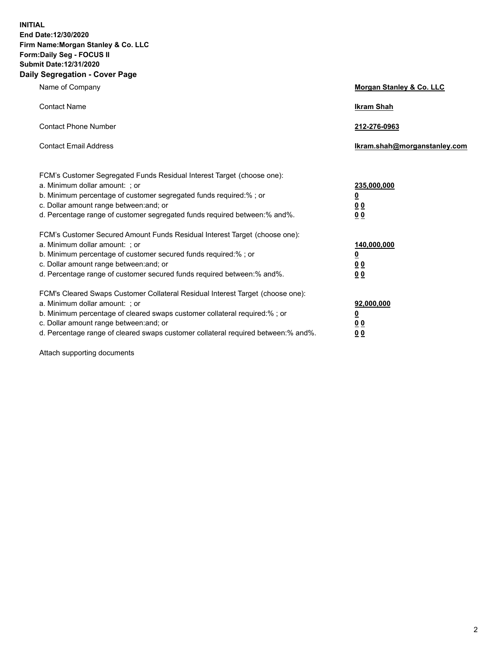**INITIAL End Date:12/30/2020 Firm Name:Morgan Stanley & Co. LLC Form:Daily Seg - FOCUS II Submit Date:12/31/2020 Daily Segregation - Cover Page**

| Name of Company                                                                                                                                                                                                                                                                                                                | Morgan Stanley & Co. LLC                                |
|--------------------------------------------------------------------------------------------------------------------------------------------------------------------------------------------------------------------------------------------------------------------------------------------------------------------------------|---------------------------------------------------------|
| <b>Contact Name</b>                                                                                                                                                                                                                                                                                                            | <b>Ikram Shah</b>                                       |
| <b>Contact Phone Number</b>                                                                                                                                                                                                                                                                                                    | 212-276-0963                                            |
| <b>Contact Email Address</b>                                                                                                                                                                                                                                                                                                   | Ikram.shah@morganstanley.com                            |
| FCM's Customer Segregated Funds Residual Interest Target (choose one):<br>a. Minimum dollar amount: ; or<br>b. Minimum percentage of customer segregated funds required:% ; or<br>c. Dollar amount range between: and; or<br>d. Percentage range of customer segregated funds required between: % and %.                       | 235,000,000<br><u>0</u><br><u>00</u><br><u>00</u>       |
| FCM's Customer Secured Amount Funds Residual Interest Target (choose one):<br>a. Minimum dollar amount: ; or<br>b. Minimum percentage of customer secured funds required:% ; or<br>c. Dollar amount range between: and; or<br>d. Percentage range of customer secured funds required between:% and%.                           | 140,000,000<br><u>0</u><br><u>0 0</u><br>0 <sub>0</sub> |
| FCM's Cleared Swaps Customer Collateral Residual Interest Target (choose one):<br>a. Minimum dollar amount: ; or<br>b. Minimum percentage of cleared swaps customer collateral required:% ; or<br>c. Dollar amount range between: and; or<br>d. Percentage range of cleared swaps customer collateral required between:% and%. | 92,000,000<br><u>0</u><br><u>00</u><br>00               |

Attach supporting documents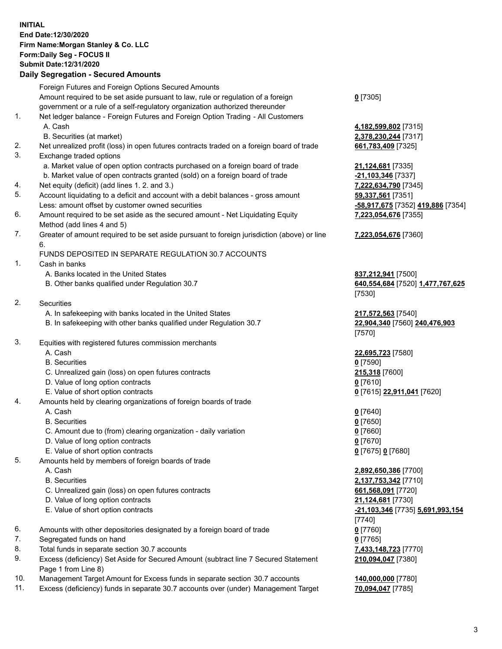## **INITIAL End Date:12/30/2020 Firm Name:Morgan Stanley & Co. LLC Form:Daily Seg - FOCUS II Submit Date:12/31/2020**

## **Daily Segregation - Secured Amounts**

Foreign Futures and Foreign Options Secured Amounts Amount required to be set aside pursuant to law, rule or regulation of a foreign government or a rule of a self-regulatory organization authorized thereunder 1. Net ledger balance - Foreign Futures and Foreign Option Trading - All Customers A. Cash **4,182,599,802** [7315] B. Securities (at market) **2,378,230,244** [7317] 2. Net unrealized profit (loss) in open futures contracts traded on a foreign board of trade **661,783,409** [7325] 3. Exchange traded options a. Market value of open option contracts purchased on a foreign board of trade **21,124,681** [7335] b. Market value of open contracts granted (sold) on a foreign board of trade **-21,103,346** [7337] 4. Net equity (deficit) (add lines 1. 2. and 3.) **7,222,634,790** [7345] 5. Account liquidating to a deficit and account with a debit balances - gross amount **59,337,561** [7351] Less: amount offset by customer owned securities **-58,917,675** [7352] **419,886** [7354] 6. Amount required to be set aside as the secured amount - Net Liquidating Equity Method (add lines 4 and 5) 7. Greater of amount required to be set aside pursuant to foreign jurisdiction (above) or line 6. FUNDS DEPOSITED IN SEPARATE REGULATION 30.7 ACCOUNTS 1. Cash in banks A. Banks located in the United States **837,212,941** [7500] B. Other banks qualified under Regulation 30.7 **640,554,684** [7520] **1,477,767,625** 2. Securities A. In safekeeping with banks located in the United States **217,572,563** [7540] B. In safekeeping with other banks qualified under Regulation 30.7 **22,904,340** [7560] **240,476,903** 3. Equities with registered futures commission merchants A. Cash **22,695,723** [7580] B. Securities **0** [7590] C. Unrealized gain (loss) on open futures contracts **215,318** [7600] D. Value of long option contracts **0** [7610] E. Value of short option contracts **0** [7615] **22,911,041** [7620] 4. Amounts held by clearing organizations of foreign boards of trade A. Cash **0** [7640] B. Securities **0** [7650] C. Amount due to (from) clearing organization - daily variation **0** [7660] D. Value of long option contracts **0** [7670] E. Value of short option contracts **0** [7675] **0** [7680] 5. Amounts held by members of foreign boards of trade A. Cash **2,892,650,386** [7700] B. Securities **2,137,753,342** [7710] C. Unrealized gain (loss) on open futures contracts **661,568,091** [7720] D. Value of long option contracts **21,124,681** [7730] E. Value of short option contracts **-21,103,346** [7735] **5,691,993,154** 6. Amounts with other depositories designated by a foreign board of trade **0** [7760] 7. Segregated funds on hand **0** [7765] 8. Total funds in separate section 30.7 accounts **7,433,148,723** [7770]

- 9. Excess (deficiency) Set Aside for Secured Amount (subtract line 7 Secured Statement Page 1 from Line 8)
- 10. Management Target Amount for Excess funds in separate section 30.7 accounts **140,000,000** [7780]
- 11. Excess (deficiency) funds in separate 30.7 accounts over (under) Management Target **70,094,047** [7785]

**0** [7305]

**7,223,054,676** [7355]

## **7,223,054,676** [7360]

[7530]

[7570]

[7740] **210,094,047** [7380]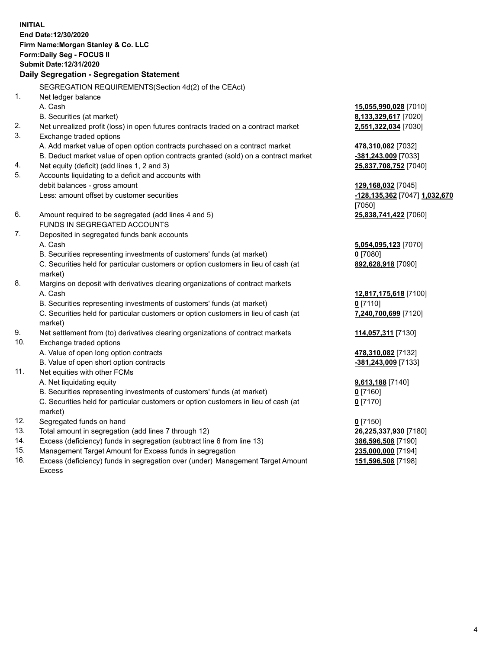**INITIAL End Date:12/30/2020 Firm Name:Morgan Stanley & Co. LLC Form:Daily Seg - FOCUS II Submit Date:12/31/2020 Daily Segregation - Segregation Statement** SEGREGATION REQUIREMENTS(Section 4d(2) of the CEAct) 1. Net ledger balance A. Cash **15,055,990,028** [7010] B. Securities (at market) **8,133,329,617** [7020] 2. Net unrealized profit (loss) in open futures contracts traded on a contract market **2,551,322,034** [7030] 3. Exchange traded options A. Add market value of open option contracts purchased on a contract market **478,310,082** [7032] B. Deduct market value of open option contracts granted (sold) on a contract market **-381,243,009** [7033] 4. Net equity (deficit) (add lines 1, 2 and 3) **25,837,708,752** [7040] 5. Accounts liquidating to a deficit and accounts with debit balances - gross amount **129,168,032** [7045] Less: amount offset by customer securities **-128,135,362** [7047] **1,032,670** [7050] 6. Amount required to be segregated (add lines 4 and 5) **25,838,741,422** [7060] FUNDS IN SEGREGATED ACCOUNTS 7. Deposited in segregated funds bank accounts A. Cash **5,054,095,123** [7070] B. Securities representing investments of customers' funds (at market) **0** [7080] C. Securities held for particular customers or option customers in lieu of cash (at market) **892,628,918** [7090] 8. Margins on deposit with derivatives clearing organizations of contract markets A. Cash **12,817,175,618** [7100] B. Securities representing investments of customers' funds (at market) **0** [7110] C. Securities held for particular customers or option customers in lieu of cash (at market) **7,240,700,699** [7120] 9. Net settlement from (to) derivatives clearing organizations of contract markets **114,057,311** [7130] 10. Exchange traded options A. Value of open long option contracts **478,310,082** [7132] B. Value of open short option contracts **-381,243,009** [7133] 11. Net equities with other FCMs A. Net liquidating equity **9,613,188** [7140] B. Securities representing investments of customers' funds (at market) **0** [7160] C. Securities held for particular customers or option customers in lieu of cash (at market) **0** [7170] 12. Segregated funds on hand **0** [7150] 13. Total amount in segregation (add lines 7 through 12) **26,225,337,930** [7180] 14. Excess (deficiency) funds in segregation (subtract line 6 from line 13) **386,596,508** [7190]

- 15. Management Target Amount for Excess funds in segregation **235,000,000** [7194]
- 16. Excess (deficiency) funds in segregation over (under) Management Target Amount Excess

**151,596,508** [7198]